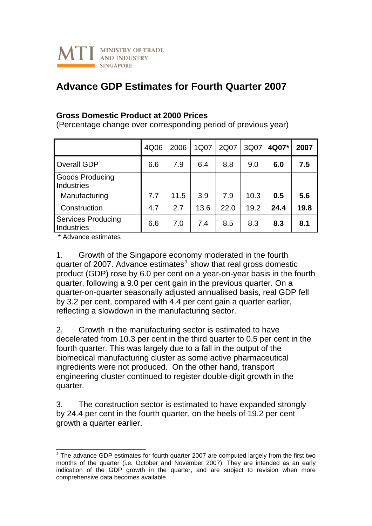

## **Advance GDP Estimates for Fourth Quarter 2007**

## **Gross Domestic Product at 2000 Prices**

(Percentage change over corresponding period of previous year)

|                                                       | 4Q06 | 2006 | 1Q07 | 2Q07 | 3Q07 | 4Q07* | 2007 |
|-------------------------------------------------------|------|------|------|------|------|-------|------|
| <b>Overall GDP</b>                                    | 6.6  | 7.9  | 6.4  | 8.8  | 9.0  | 6.0   | 7.5  |
| <b>Goods Producing</b><br>Industries<br>Manufacturing | 7.7  | 11.5 | 3.9  | 7.9  | 10.3 | 0.5   | 5.6  |
| Construction                                          | 4.7  | 2.7  | 13.6 | 22.0 | 19.2 | 24.4  | 19.8 |
| <b>Services Producing</b><br>Industries               | 6.6  | 7.0  | 7.4  | 8.5  | 8.3  | 8.3   | 8.1  |

\* Advance estimates

-

1. Growth of the Singapore economy moderated in the fourth quarter of 2007. Advance estimates $<sup>1</sup>$  $<sup>1</sup>$  $<sup>1</sup>$  show that real gross domestic</sup> product (GDP) rose by 6.0 per cent on a year-on-year basis in the fourth quarter, following a 9.0 per cent gain in the previous quarter. On a quarter-on-quarter seasonally adjusted annualised basis, real GDP fell by 3.2 per cent, compared with 4.4 per cent gain a quarter earlier, reflecting a slowdown in the manufacturing sector.

2. Growth in the manufacturing sector is estimated to have decelerated from 10.3 per cent in the third quarter to 0.5 per cent in the fourth quarter. This was largely due to a fall in the output of the biomedical manufacturing cluster as some active pharmaceutical ingredients were not produced. On the other hand, transport engineering cluster continued to register double-digit growth in the quarter.

3. The construction sector is estimated to have expanded strongly by 24.4 per cent in the fourth quarter, on the heels of 19.2 per cent growth a quarter earlier.

<span id="page-0-0"></span> $1$  The advance GDP estimates for fourth quarter 2007 are computed largely from the first two months of the quarter (i.e. October and November 2007). They are intended as an early indication of the GDP growth in the quarter, and are subject to revision when more comprehensive data becomes available.